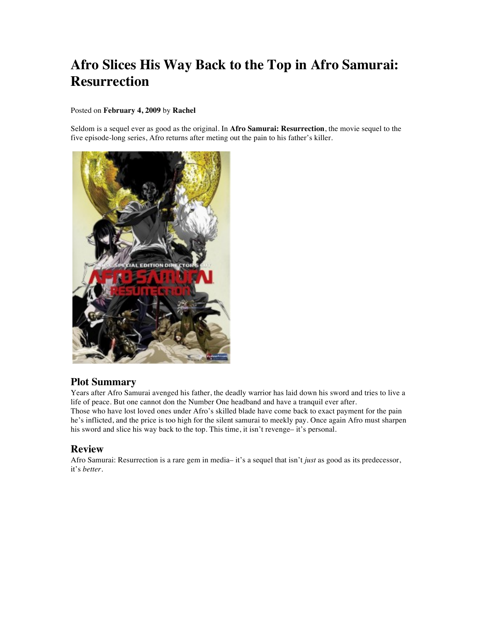# **Afro Slices His Way Back to the Top in Afro Samurai: Resurrection**

#### Posted on **February 4, 2009** by **Rachel**

Seldom is a sequel ever as good as the original. In **Afro Samurai: Resurrection**, the movie sequel to the five episode-long series, Afro returns after meting out the pain to his father's killer.



# **Plot Summary**

Years after Afro Samurai avenged his father, the deadly warrior has laid down his sword and tries to live a life of peace. But one cannot don the Number One headband and have a tranquil ever after. Those who have lost loved ones under Afro's skilled blade have come back to exact payment for the pain he's inflicted, and the price is too high for the silent samurai to meekly pay. Once again Afro must sharpen his sword and slice his way back to the top. This time, it isn't revenge– it's personal.

# **Review**

Afro Samurai: Resurrection is a rare gem in media– it's a sequel that isn't *just* as good as its predecessor, it's *better*.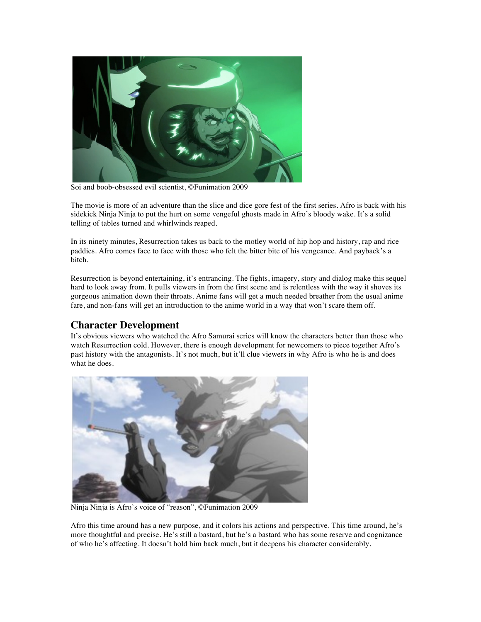

Soi and boob-obsessed evil scientist, ©Funimation 2009

The movie is more of an adventure than the slice and dice gore fest of the first series. Afro is back with his sidekick Ninja Ninja to put the hurt on some vengeful ghosts made in Afro's bloody wake. It's a solid telling of tables turned and whirlwinds reaped.

In its ninety minutes, Resurrection takes us back to the motley world of hip hop and history, rap and rice paddies. Afro comes face to face with those who felt the bitter bite of his vengeance. And payback's a bitch.

Resurrection is beyond entertaining, it's entrancing. The fights, imagery, story and dialog make this sequel hard to look away from. It pulls viewers in from the first scene and is relentless with the way it shoves its gorgeous animation down their throats. Anime fans will get a much needed breather from the usual anime fare, and non-fans will get an introduction to the anime world in a way that won't scare them off.

#### **Character Development**

It's obvious viewers who watched the Afro Samurai series will know the characters better than those who watch Resurrection cold. However, there is enough development for newcomers to piece together Afro's past history with the antagonists. It's not much, but it'll clue viewers in why Afro is who he is and does what he does.



Ninja Ninja is Afro's voice of "reason", ©Funimation 2009

Afro this time around has a new purpose, and it colors his actions and perspective. This time around, he's more thoughtful and precise. He's still a bastard, but he's a bastard who has some reserve and cognizance of who he's affecting. It doesn't hold him back much, but it deepens his character considerably.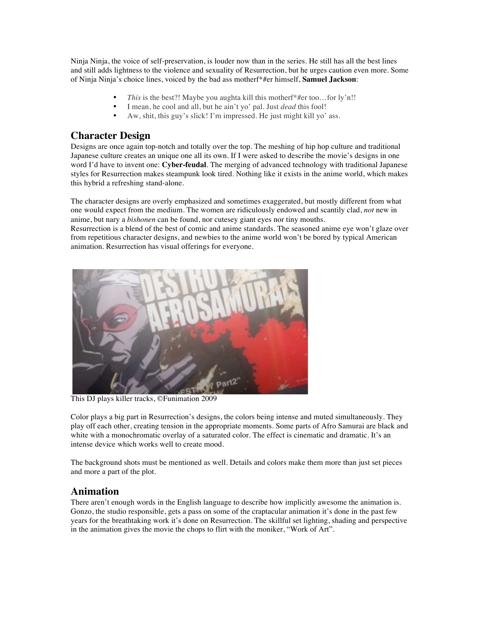Ninja Ninja, the voice of self-preservation, is louder now than in the series. He still has all the best lines and still adds lightness to the violence and sexuality of Resurrection, but he urges caution even more. Some of Ninja Ninja's choice lines, voiced by the bad ass motherf\*#er himself, **Samuel Jackson**:

- *This* is the best?! Maybe you aughta kill this mother <sup>\*\*</sup> #er too... for ly'n!!
- I mean, he cool and all, but he ain't yo' pal. Just *dead* this fool!
- Aw, shit, this guy's slick! I'm impressed. He just might kill yo' ass.

### **Character Design**

Designs are once again top-notch and totally over the top. The meshing of hip hop culture and traditional Japanese culture creates an unique one all its own. If I were asked to describe the movie's designs in one word I'd have to invent one: **Cyber-feudal**. The merging of advanced technology with traditional Japanese styles for Resurrection makes steampunk look tired. Nothing like it exists in the anime world, which makes this hybrid a refreshing stand-alone.

The character designs are overly emphasized and sometimes exaggerated, but mostly different from what one would expect from the medium. The women are ridiculously endowed and scantily clad, *not* new in anime, but nary a *bishonen* can be found, nor cutesey giant eyes nor tiny mouths.

Resurrection is a blend of the best of comic and anime standards. The seasoned anime eye won't glaze over from repetitious character designs, and newbies to the anime world won't be bored by typical American animation. Resurrection has visual offerings for everyone.



This DJ plays killer tracks, ©Funimation 2009

Color plays a big part in Resurrection's designs, the colors being intense and muted simultaneously. They play off each other, creating tension in the appropriate moments. Some parts of Afro Samurai are black and white with a monochromatic overlay of a saturated color. The effect is cinematic and dramatic. It's an intense device which works well to create mood.

The background shots must be mentioned as well. Details and colors make them more than just set pieces and more a part of the plot.

#### **Animation**

There aren't enough words in the English language to describe how implicitly awesome the animation is. Gonzo, the studio responsible, gets a pass on some of the craptacular animation it's done in the past few years for the breathtaking work it's done on Resurrection. The skillful set lighting, shading and perspective in the animation gives the movie the chops to flirt with the moniker, "Work of Art".